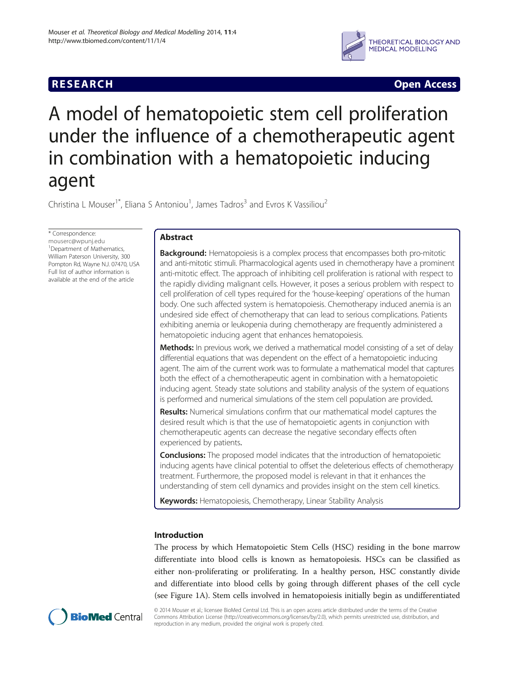# **RESEARCH CHINESE ARCH CHINESE ARCH CHINESE ARCH <b>CHINESE ARCH**



# A model of hematopoietic stem cell proliferation under the influence of a chemotherapeutic agent in combination with a hematopoietic inducing agent

Christina L Mouser<sup>1\*</sup>, Eliana S Antoniou<sup>1</sup>, James Tadros<sup>3</sup> and Evros K Vassiliou<sup>2</sup>

\* Correspondence: [mouserc@wpunj.edu](mailto:mouserc@wpunj.edu) 1 Department of Mathematics, William Paterson University, 300 Pompton Rd, Wayne N.J. 07470, USA Full list of author information is available at the end of the article

# Abstract

**Background:** Hematopoiesis is a complex process that encompasses both pro-mitotic and anti-mitotic stimuli. Pharmacological agents used in chemotherapy have a prominent anti-mitotic effect. The approach of inhibiting cell proliferation is rational with respect to the rapidly dividing malignant cells. However, it poses a serious problem with respect to cell proliferation of cell types required for the 'house-keeping' operations of the human body. One such affected system is hematopoiesis. Chemotherapy induced anemia is an undesired side effect of chemotherapy that can lead to serious complications. Patients exhibiting anemia or leukopenia during chemotherapy are frequently administered a hematopoietic inducing agent that enhances hematopoiesis.

**Methods:** In previous work, we derived a mathematical model consisting of a set of delay differential equations that was dependent on the effect of a hematopoietic inducing agent. The aim of the current work was to formulate a mathematical model that captures both the effect of a chemotherapeutic agent in combination with a hematopoietic inducing agent. Steady state solutions and stability analysis of the system of equations is performed and numerical simulations of the stem cell population are provided.

**Results:** Numerical simulations confirm that our mathematical model captures the desired result which is that the use of hematopoietic agents in conjunction with chemotherapeutic agents can decrease the negative secondary effects often experienced by patients.

**Conclusions:** The proposed model indicates that the introduction of hematopoietic inducing agents have clinical potential to offset the deleterious effects of chemotherapy treatment. Furthermore, the proposed model is relevant in that it enhances the understanding of stem cell dynamics and provides insight on the stem cell kinetics.

Keywords: Hematopoiesis, Chemotherapy, Linear Stability Analysis

# Introduction

The process by which Hematopoietic Stem Cells (HSC) residing in the bone marrow differentiate into blood cells is known as hematopoiesis. HSCs can be classified as either non-proliferating or proliferating. In a healthy person, HSC constantly divide and differentiate into blood cells by going through different phases of the cell cycle (see Figure [1](#page-1-0)A). Stem cells involved in hematopoiesis initially begin as undifferentiated



© 2014 Mouser et al.; licensee BioMed Central Ltd. This is an open access article distributed under the terms of the Creative Commons Attribution License [\(http://creativecommons.org/licenses/by/2.0\)](http://creativecommons.org/licenses/by/2.0), which permits unrestricted use, distribution, and reproduction in any medium, provided the original work is properly cited.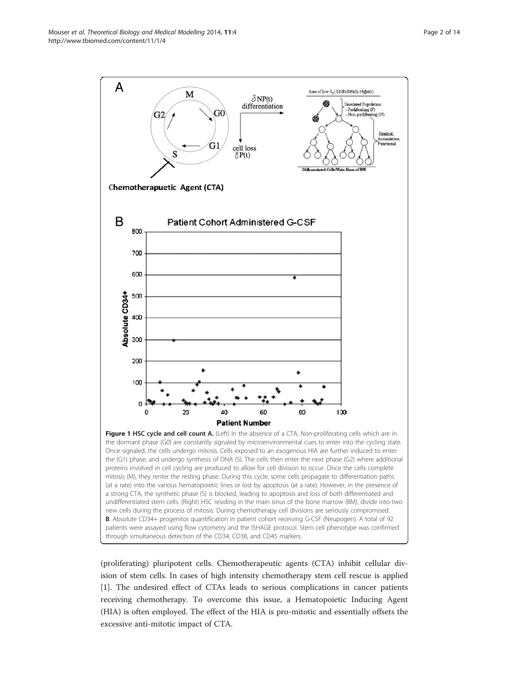<span id="page-1-0"></span>

(proliferating) pluripotent cells. Chemotherapeutic agents (CTA) inhibit cellular division of stem cells. In cases of high intensity chemotherapy stem cell rescue is applied [[1\]](#page-12-0). The undesired effect of CTAs leads to serious complications in cancer patients receiving chemotherapy. To overcome this issue, a Hematopoietic Inducing Agent (HIA) is often employed. The effect of the HIA is pro-mitotic and essentially offsets the excessive anti-mitotic impact of CTA.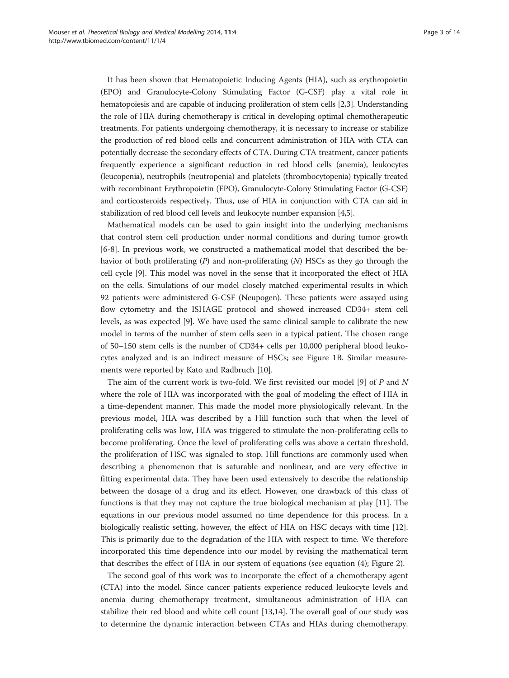It has been shown that Hematopoietic Inducing Agents (HIA), such as erythropoietin (EPO) and Granulocyte-Colony Stimulating Factor (G-CSF) play a vital role in hematopoiesis and are capable of inducing proliferation of stem cells [[2,3](#page-12-0)]. Understanding the role of HIA during chemotherapy is critical in developing optimal chemotherapeutic treatments. For patients undergoing chemotherapy, it is necessary to increase or stabilize the production of red blood cells and concurrent administration of HIA with CTA can potentially decrease the secondary effects of CTA. During CTA treatment, cancer patients frequently experience a significant reduction in red blood cells (anemia), leukocytes (leucopenia), neutrophils (neutropenia) and platelets (thrombocytopenia) typically treated with recombinant Erythropoietin (EPO), Granulocyte-Colony Stimulating Factor (G-CSF) and corticosteroids respectively. Thus, use of HIA in conjunction with CTA can aid in stabilization of red blood cell levels and leukocyte number expansion [\[4,5](#page-12-0)].

Mathematical models can be used to gain insight into the underlying mechanisms that control stem cell production under normal conditions and during tumor growth [[6-8](#page-12-0)]. In previous work, we constructed a mathematical model that described the behavior of both proliferating  $(P)$  and non-proliferating  $(N)$  HSCs as they go through the cell cycle [[9\]](#page-12-0). This model was novel in the sense that it incorporated the effect of HIA on the cells. Simulations of our model closely matched experimental results in which 92 patients were administered G-CSF (Neupogen). These patients were assayed using flow cytometry and the ISHAGE protocol and showed increased CD34+ stem cell levels, as was expected [[9](#page-12-0)]. We have used the same clinical sample to calibrate the new model in terms of the number of stem cells seen in a typical patient. The chosen range of 50–150 stem cells is the number of CD34+ cells per 10,000 peripheral blood leukocytes analyzed and is an indirect measure of HSCs; see Figure [1](#page-1-0)B. Similar measurements were reported by Kato and Radbruch [[10\]](#page-12-0).

The aim of the current work is two-fold. We first revisited our model [[9\]](#page-12-0) of  $P$  and  $N$ where the role of HIA was incorporated with the goal of modeling the effect of HIA in a time-dependent manner. This made the model more physiologically relevant. In the previous model, HIA was described by a Hill function such that when the level of proliferating cells was low, HIA was triggered to stimulate the non-proliferating cells to become proliferating. Once the level of proliferating cells was above a certain threshold, the proliferation of HSC was signaled to stop. Hill functions are commonly used when describing a phenomenon that is saturable and nonlinear, and are very effective in fitting experimental data. They have been used extensively to describe the relationship between the dosage of a drug and its effect. However, one drawback of this class of functions is that they may not capture the true biological mechanism at play [[11\]](#page-12-0). The equations in our previous model assumed no time dependence for this process. In a biologically realistic setting, however, the effect of HIA on HSC decays with time [[12](#page-12-0)]. This is primarily due to the degradation of the HIA with respect to time. We therefore incorporated this time dependence into our model by revising the mathematical term that describes the effect of HIA in our system of equations (see equation ([4\)](#page-3-0); Figure [2\)](#page-3-0).

The second goal of this work was to incorporate the effect of a chemotherapy agent (CTA) into the model. Since cancer patients experience reduced leukocyte levels and anemia during chemotherapy treatment, simultaneous administration of HIA can stabilize their red blood and white cell count [\[13,14\]](#page-12-0). The overall goal of our study was to determine the dynamic interaction between CTAs and HIAs during chemotherapy.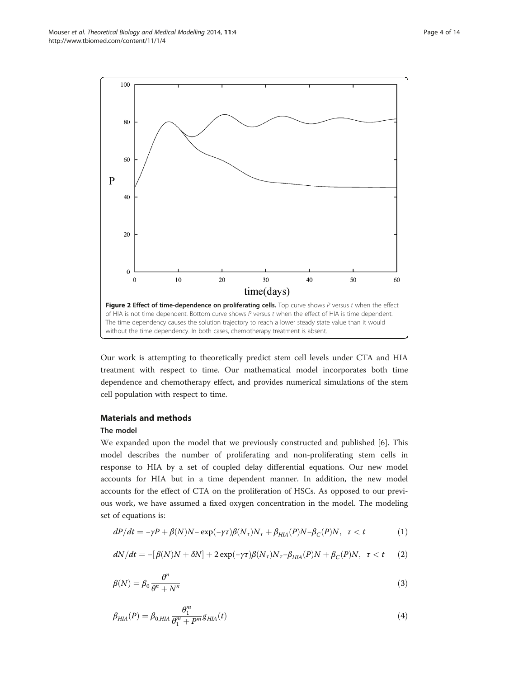<span id="page-3-0"></span>

Our work is attempting to theoretically predict stem cell levels under CTA and HIA treatment with respect to time. Our mathematical model incorporates both time dependence and chemotherapy effect, and provides numerical simulations of the stem cell population with respect to time.

# Materials and methods

## The model

We expanded upon the model that we previously constructed and published [[6\]](#page-12-0). This model describes the number of proliferating and non-proliferating stem cells in response to HIA by a set of coupled delay differential equations. Our new model accounts for HIA but in a time dependent manner. In addition, the new model accounts for the effect of CTA on the proliferation of HSCs. As opposed to our previous work, we have assumed a fixed oxygen concentration in the model. The modeling set of equations is:

$$
dP/dt = -\gamma P + \beta(N)N - \exp(-\gamma \tau)\beta(N_{\tau})N_{\tau} + \beta_{HIA}(P)N - \beta_{C}(P)N, \quad \tau < t \tag{1}
$$

$$
dN/dt = -[\beta(N)N + \delta N] + 2\exp(-\gamma\tau)\beta(N_{\tau})N_{\tau} - \beta_{HIA}(P)N + \beta_{C}(P)N, \quad \tau < t \qquad (2)
$$

$$
\beta(N) = \beta_0 \frac{\theta^n}{\theta^n + N^n} \tag{3}
$$

$$
\beta_{HIA}(P) = \beta_{0,HIA} \frac{\theta_1^m}{\theta_1^m + P^m} g_{HIA}(t)
$$
\n(4)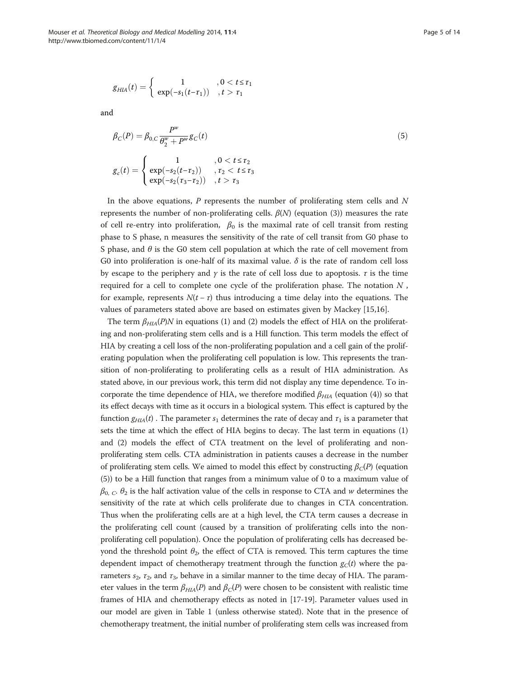$$
g_{HIA}(t) = \begin{cases} 1, & 0 < t \leq \tau_1 \\ \exp(-s_1(t-\tau_1)), & t > \tau_1 \end{cases}
$$

and

$$
\beta_C(P) = \beta_{0,C} \frac{P^w}{\theta_2^w + P^w} g_C(t)
$$
\n
$$
g_c(t) = \begin{cases}\n1 & , 0 < t \le \tau_2 \\
\exp(-s_2(t-\tau_2)) & , \tau_2 < t \le \tau_3 \\
\exp(-s_2(\tau_3-\tau_2)) & , t > \tau_3\n\end{cases}
$$
\n(5)

In the above equations,  $P$  represents the number of proliferating stem cells and  $N$ represents the number of non-proliferating cells.  $β(N)$  (equation ([3\)](#page-3-0)) measures the rate of cell re-entry into proliferation,  $\beta_0$  is the maximal rate of cell transit from resting phase to S phase, n measures the sensitivity of the rate of cell transit from G0 phase to S phase, and  $\theta$  is the G0 stem cell population at which the rate of cell movement from G0 into proliferation is one-half of its maximal value.  $\delta$  is the rate of random cell loss by escape to the periphery and  $\gamma$  is the rate of cell loss due to apoptosis.  $\tau$  is the time required for a cell to complete one cycle of the proliferation phase. The notation  $N$ , for example, represents  $N(t - \tau)$  thus introducing a time delay into the equations. The values of parameters stated above are based on estimates given by Mackey [\[15,16](#page-12-0)].

The term  $\beta_{HIA}(P)N$  in equations ([1](#page-3-0)) and ([2](#page-3-0)) models the effect of HIA on the proliferating and non-proliferating stem cells and is a Hill function. This term models the effect of HIA by creating a cell loss of the non-proliferating population and a cell gain of the proliferating population when the proliferating cell population is low. This represents the transition of non-proliferating to proliferating cells as a result of HIA administration. As stated above, in our previous work, this term did not display any time dependence. To incorporate the time dependence of HIA, we therefore modified  $\beta_{HIA}$  (equation [\(4](#page-3-0))) so that its effect decays with time as it occurs in a biological system. This effect is captured by the function  $g_{HIA}(t)$ . The parameter  $s_1$  determines the rate of decay and  $\tau_1$  is a parameter that sets the time at which the effect of HIA begins to decay. The last term in equations ([1](#page-3-0)) and ([2\)](#page-3-0) models the effect of CTA treatment on the level of proliferating and nonproliferating stem cells. CTA administration in patients causes a decrease in the number of proliferating stem cells. We aimed to model this effect by constructing  $\beta_C(P)$  (equation (5)) to be a Hill function that ranges from a minimum value of 0 to a maximum value of  $\beta_{0,\,C}$   $\theta_2$  is the half activation value of the cells in response to CTA and w determines the sensitivity of the rate at which cells proliferate due to changes in CTA concentration. Thus when the proliferating cells are at a high level, the CTA term causes a decrease in the proliferating cell count (caused by a transition of proliferating cells into the nonproliferating cell population). Once the population of proliferating cells has decreased beyond the threshold point  $\theta_2$ , the effect of CTA is removed. This term captures the time dependent impact of chemotherapy treatment through the function  $g_C(t)$  where the parameters  $s_2$ ,  $\tau_2$ , and  $\tau_3$ , behave in a similar manner to the time decay of HIA. The parameter values in the term  $\beta_{HIA}(P)$  and  $\beta_C(P)$  were chosen to be consistent with realistic time frames of HIA and chemotherapy effects as noted in [[17](#page-12-0)-[19](#page-12-0)]. Parameter values used in our model are given in Table [1](#page-5-0) (unless otherwise stated). Note that in the presence of chemotherapy treatment, the initial number of proliferating stem cells was increased from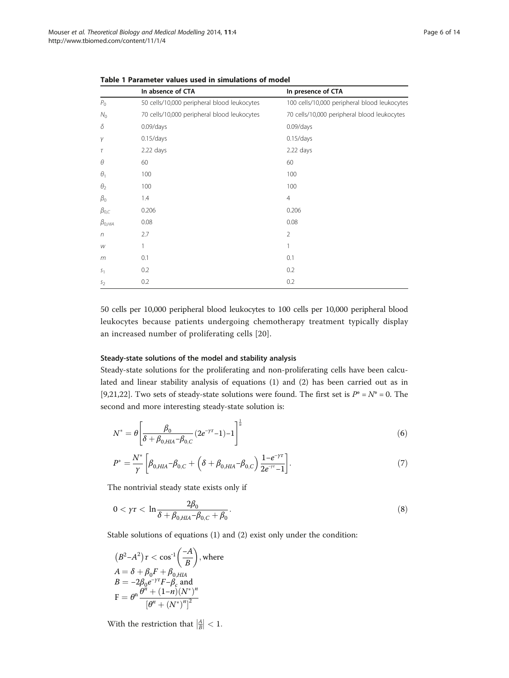|                  | In absence of CTA                           | In presence of CTA                           |
|------------------|---------------------------------------------|----------------------------------------------|
| $P_{\rm O}$      | 50 cells/10,000 peripheral blood leukocytes | 100 cells/10,000 peripheral blood leukocytes |
| $N_{\Omega}$     | 70 cells/10,000 peripheral blood leukocytes | 70 cells/10,000 peripheral blood leukocytes  |
| δ                | $0.09$ /days                                | $0.09$ /days                                 |
| γ                | $0.15$ /days                                | 0.15/days                                    |
| τ                | 2.22 days                                   | 2.22 days                                    |
| θ                | 60                                          | 60                                           |
| $\theta_1$       | 100                                         | 100                                          |
| $\theta_2$       | 100                                         | 100                                          |
| $\beta_{0}$      | 1.4                                         | $\overline{4}$                               |
| $\beta_{0,C}$    | 0.206                                       | 0.206                                        |
| $\beta_{0, HIA}$ | 0.08                                        | 0.08                                         |
| n                | 2.7                                         | $\overline{2}$                               |
| W                | 1                                           | 1                                            |
| m                | 0.1                                         | 0.1                                          |
| S <sub>1</sub>   | 0.2                                         | 0.2                                          |
| S <sub>2</sub>   | 0.2                                         | 0.2                                          |

<span id="page-5-0"></span>Table 1 Parameter values used in simulations of model

50 cells per 10,000 peripheral blood leukocytes to 100 cells per 10,000 peripheral blood leukocytes because patients undergoing chemotherapy treatment typically display an increased number of proliferating cells [[20](#page-12-0)].

## Steady-state solutions of the model and stability analysis

Steady-state solutions for the proliferating and non-proliferating cells have been calculated and linear stability analysis of equations [\(1](#page-3-0)) and [\(2](#page-3-0)) has been carried out as in [[9,21,22\]](#page-12-0). Two sets of steady-state solutions were found. The first set is  $P^* = N^* = 0$ . The second and more interesting steady-state solution is:

$$
N^* = \theta \left[ \frac{\beta_0}{\delta + \beta_{0, HIA} - \beta_{0,C}} (2e^{-\gamma \tau} - 1) - 1 \right]^{\frac{1}{n}}
$$
(6)

$$
P^* = \frac{N^*}{\gamma} \left[ \beta_{0,HLA} - \beta_{0,C} + \left( \delta + \beta_{0,HLA} - \beta_{0,C} \right) \frac{1 - e^{-\gamma \tau}}{2e^{-\gamma \tau} - 1} \right].
$$
 (7)

The nontrivial steady state exists only if

$$
0 < \gamma \tau < \ln \frac{2\beta_0}{\delta + \beta_{0,HLA} - \beta_{0,C} + \beta_0}.\tag{8}
$$

Stable solutions of equations [\(1](#page-3-0)) and ([2](#page-3-0)) exist only under the condition:

$$
(B2-A2)\tau < \cos^{-1}\left(\frac{-A}{B}\right), \text{ where}
$$
  
\n
$$
A = \delta + \beta_0 F + \beta_{0, HIA}
$$
  
\n
$$
B = -2\beta_0 e^{-\gamma\tau} F - \beta_c \text{ and}
$$
  
\n
$$
F = \theta^n \frac{\theta^n + (1-n)(N^*)^n}{\left[\theta^n + (N^*)^n\right]^2}
$$

With the restriction that  $\left|\frac{A}{B}\right| < 1$ .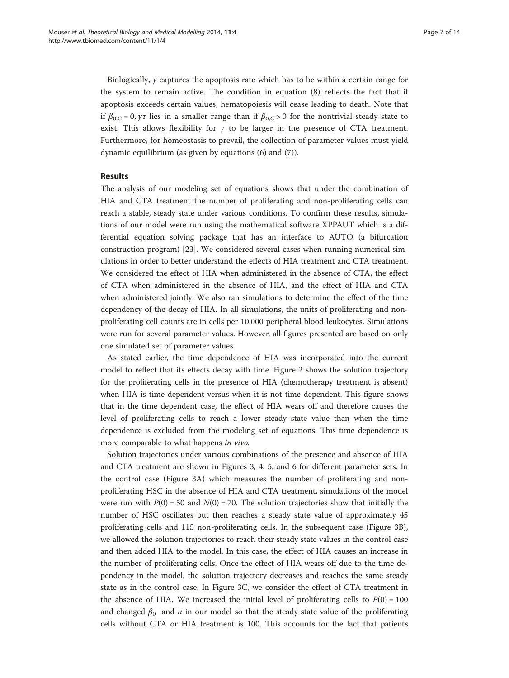Biologically,  $\gamma$  captures the apoptosis rate which has to be within a certain range for the system to remain active. The condition in equation ([8\)](#page-5-0) reflects the fact that if apoptosis exceeds certain values, hematopoiesis will cease leading to death. Note that if  $\beta_{0,C} = 0$ ,  $\gamma \tau$  lies in a smaller range than if  $\beta_{0,C} > 0$  for the nontrivial steady state to exist. This allows flexibility for  $\gamma$  to be larger in the presence of CTA treatment. Furthermore, for homeostasis to prevail, the collection of parameter values must yield dynamic equilibrium (as given by equations ([6\)](#page-5-0) and [\(7](#page-5-0))).

# Results

The analysis of our modeling set of equations shows that under the combination of HIA and CTA treatment the number of proliferating and non-proliferating cells can reach a stable, steady state under various conditions. To confirm these results, simulations of our model were run using the mathematical software XPPAUT which is a differential equation solving package that has an interface to AUTO (a bifurcation construction program) [[23\]](#page-12-0). We considered several cases when running numerical simulations in order to better understand the effects of HIA treatment and CTA treatment. We considered the effect of HIA when administered in the absence of CTA, the effect of CTA when administered in the absence of HIA, and the effect of HIA and CTA when administered jointly. We also ran simulations to determine the effect of the time dependency of the decay of HIA. In all simulations, the units of proliferating and nonproliferating cell counts are in cells per 10,000 peripheral blood leukocytes. Simulations were run for several parameter values. However, all figures presented are based on only one simulated set of parameter values.

As stated earlier, the time dependence of HIA was incorporated into the current model to reflect that its effects decay with time. Figure [2](#page-3-0) shows the solution trajectory for the proliferating cells in the presence of HIA (chemotherapy treatment is absent) when HIA is time dependent versus when it is not time dependent. This figure shows that in the time dependent case, the effect of HIA wears off and therefore causes the level of proliferating cells to reach a lower steady state value than when the time dependence is excluded from the modeling set of equations. This time dependence is more comparable to what happens in vivo.

Solution trajectories under various combinations of the presence and absence of HIA and CTA treatment are shown in Figures [3](#page-7-0), [4,](#page-8-0) [5](#page-9-0), and [6](#page-10-0) for different parameter sets. In the control case (Figure [3A](#page-7-0)) which measures the number of proliferating and nonproliferating HSC in the absence of HIA and CTA treatment, simulations of the model were run with  $P(0) = 50$  and  $N(0) = 70$ . The solution trajectories show that initially the number of HSC oscillates but then reaches a steady state value of approximately 45 proliferating cells and 115 non-proliferating cells. In the subsequent case (Figure [3](#page-7-0)B), we allowed the solution trajectories to reach their steady state values in the control case and then added HIA to the model. In this case, the effect of HIA causes an increase in the number of proliferating cells. Once the effect of HIA wears off due to the time dependency in the model, the solution trajectory decreases and reaches the same steady state as in the control case. In Figure [3C](#page-7-0), we consider the effect of CTA treatment in the absence of HIA. We increased the initial level of proliferating cells to  $P(0) = 100$ and changed  $\beta_0$  and *n* in our model so that the steady state value of the proliferating cells without CTA or HIA treatment is 100. This accounts for the fact that patients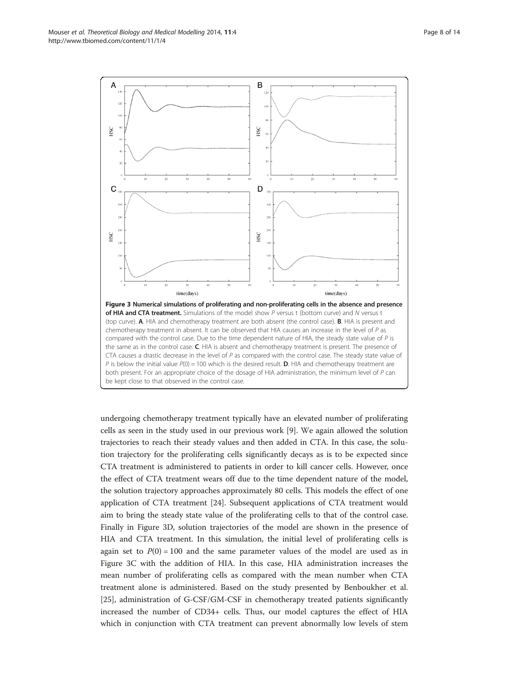<span id="page-7-0"></span>

undergoing chemotherapy treatment typically have an elevated number of proliferating cells as seen in the study used in our previous work [[9\]](#page-12-0). We again allowed the solution trajectories to reach their steady values and then added in CTA. In this case, the solution trajectory for the proliferating cells significantly decays as is to be expected since CTA treatment is administered to patients in order to kill cancer cells. However, once the effect of CTA treatment wears off due to the time dependent nature of the model, the solution trajectory approaches approximately 80 cells. This models the effect of one application of CTA treatment [[24](#page-12-0)]. Subsequent applications of CTA treatment would aim to bring the steady state value of the proliferating cells to that of the control case. Finally in Figure 3D, solution trajectories of the model are shown in the presence of HIA and CTA treatment. In this simulation, the initial level of proliferating cells is again set to  $P(0) = 100$  and the same parameter values of the model are used as in Figure 3C with the addition of HIA. In this case, HIA administration increases the mean number of proliferating cells as compared with the mean number when CTA treatment alone is administered. Based on the study presented by Benboukher et al. [[25\]](#page-13-0), administration of G-CSF/GM-CSF in chemotherapy treated patients significantly increased the number of CD34+ cells. Thus, our model captures the effect of HIA which in conjunction with CTA treatment can prevent abnormally low levels of stem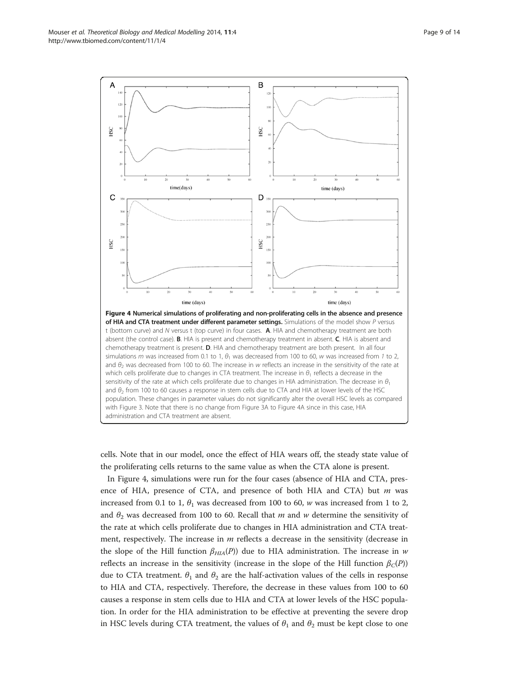<span id="page-8-0"></span>

cells. Note that in our model, once the effect of HIA wears off, the steady state value of the proliferating cells returns to the same value as when the CTA alone is present.

In Figure 4, simulations were run for the four cases (absence of HIA and CTA, presence of HIA, presence of CTA, and presence of both HIA and CTA) but  $m$  was increased from 0.1 to 1,  $\theta_1$  was decreased from 100 to 60, w was increased from 1 to 2, and  $\theta_2$  was decreased from 100 to 60. Recall that m and w determine the sensitivity of the rate at which cells proliferate due to changes in HIA administration and CTA treatment, respectively. The increase in  $m$  reflects a decrease in the sensitivity (decrease in the slope of the Hill function  $\beta_{HIA}(P)$ ) due to HIA administration. The increase in w reflects an increase in the sensitivity (increase in the slope of the Hill function  $\beta_C(P)$ ) due to CTA treatment.  $\theta_1$  and  $\theta_2$  are the half-activation values of the cells in response to HIA and CTA, respectively. Therefore, the decrease in these values from 100 to 60 causes a response in stem cells due to HIA and CTA at lower levels of the HSC population. In order for the HIA administration to be effective at preventing the severe drop in HSC levels during CTA treatment, the values of  $\theta_1$  and  $\theta_2$  must be kept close to one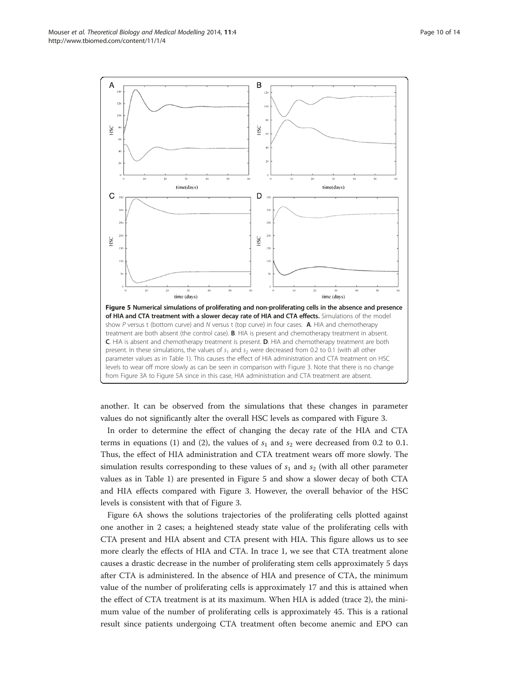<span id="page-9-0"></span>

another. It can be observed from the simulations that these changes in parameter values do not significantly alter the overall HSC levels as compared with Figure [3.](#page-7-0)

In order to determine the effect of changing the decay rate of the HIA and CTA terms in equations [\(1\)](#page-3-0) and ([2](#page-3-0)), the values of  $s_1$  and  $s_2$  were decreased from 0.2 to 0.1. Thus, the effect of HIA administration and CTA treatment wears off more slowly. The simulation results corresponding to these values of  $s_1$  and  $s_2$  (with all other parameter values as in Table [1](#page-5-0)) are presented in Figure 5 and show a slower decay of both CTA and HIA effects compared with Figure [3.](#page-7-0) However, the overall behavior of the HSC levels is consistent with that of Figure [3.](#page-7-0)

Figure [6A](#page-10-0) shows the solutions trajectories of the proliferating cells plotted against one another in 2 cases; a heightened steady state value of the proliferating cells with CTA present and HIA absent and CTA present with HIA. This figure allows us to see more clearly the effects of HIA and CTA. In trace 1, we see that CTA treatment alone causes a drastic decrease in the number of proliferating stem cells approximately 5 days after CTA is administered. In the absence of HIA and presence of CTA, the minimum value of the number of proliferating cells is approximately 17 and this is attained when the effect of CTA treatment is at its maximum. When HIA is added (trace 2), the minimum value of the number of proliferating cells is approximately 45. This is a rational result since patients undergoing CTA treatment often become anemic and EPO can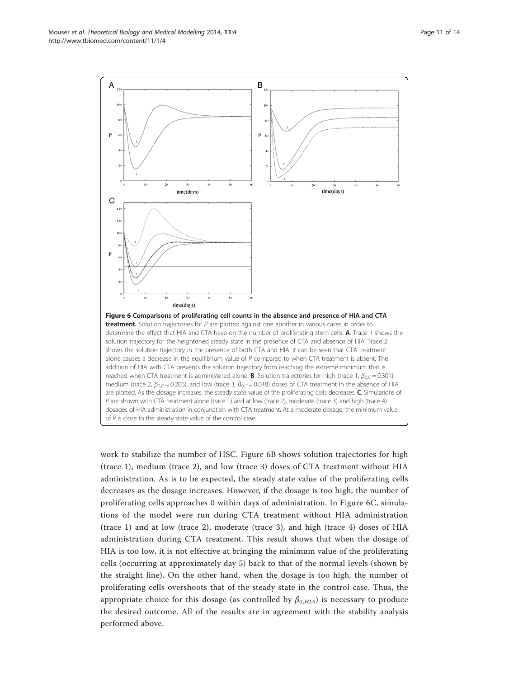<span id="page-10-0"></span>Mouser et al. Theoretical Biology and Medical Modelling 2014, 11:4 Page 11 of 14 http://www.tbiomed.com/content/11/1/4



work to stabilize the number of HSC. Figure 6B shows solution trajectories for high (trace 1), medium (trace 2), and low (trace 3) doses of CTA treatment without HIA administration. As is to be expected, the steady state value of the proliferating cells decreases as the dosage increases. However, if the dosage is too high, the number of proliferating cells approaches 0 within days of administration. In Figure 6C, simulations of the model were run during CTA treatment without HIA administration (trace 1) and at low (trace 2), moderate (trace 3), and high (trace 4) doses of HIA administration during CTA treatment. This result shows that when the dosage of HIA is too low, it is not effective at bringing the minimum value of the proliferating cells (occurring at approximately day 5) back to that of the normal levels (shown by the straight line). On the other hand, when the dosage is too high, the number of proliferating cells overshoots that of the steady state in the control case. Thus, the appropriate choice for this dosage (as controlled by  $\beta_{0,HIA}$ ) is necessary to produce the desired outcome. All of the results are in agreement with the stability analysis performed above.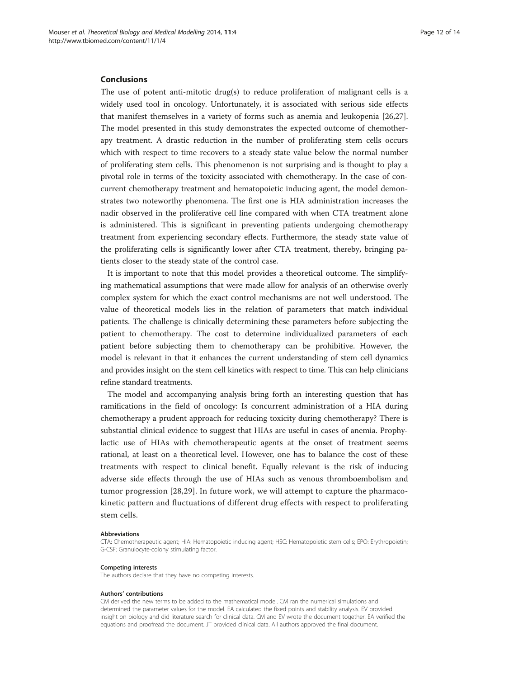## Conclusions

The use of potent anti-mitotic drug(s) to reduce proliferation of malignant cells is a widely used tool in oncology. Unfortunately, it is associated with serious side effects that manifest themselves in a variety of forms such as anemia and leukopenia [[26](#page-13-0),[27](#page-13-0)]. The model presented in this study demonstrates the expected outcome of chemotherapy treatment. A drastic reduction in the number of proliferating stem cells occurs which with respect to time recovers to a steady state value below the normal number of proliferating stem cells. This phenomenon is not surprising and is thought to play a pivotal role in terms of the toxicity associated with chemotherapy. In the case of concurrent chemotherapy treatment and hematopoietic inducing agent, the model demonstrates two noteworthy phenomena. The first one is HIA administration increases the nadir observed in the proliferative cell line compared with when CTA treatment alone is administered. This is significant in preventing patients undergoing chemotherapy treatment from experiencing secondary effects. Furthermore, the steady state value of the proliferating cells is significantly lower after CTA treatment, thereby, bringing patients closer to the steady state of the control case.

It is important to note that this model provides a theoretical outcome. The simplifying mathematical assumptions that were made allow for analysis of an otherwise overly complex system for which the exact control mechanisms are not well understood. The value of theoretical models lies in the relation of parameters that match individual patients. The challenge is clinically determining these parameters before subjecting the patient to chemotherapy. The cost to determine individualized parameters of each patient before subjecting them to chemotherapy can be prohibitive. However, the model is relevant in that it enhances the current understanding of stem cell dynamics and provides insight on the stem cell kinetics with respect to time. This can help clinicians refine standard treatments.

The model and accompanying analysis bring forth an interesting question that has ramifications in the field of oncology: Is concurrent administration of a HIA during chemotherapy a prudent approach for reducing toxicity during chemotherapy? There is substantial clinical evidence to suggest that HIAs are useful in cases of anemia. Prophylactic use of HIAs with chemotherapeutic agents at the onset of treatment seems rational, at least on a theoretical level. However, one has to balance the cost of these treatments with respect to clinical benefit. Equally relevant is the risk of inducing adverse side effects through the use of HIAs such as venous thromboembolism and tumor progression [[28,29](#page-13-0)]. In future work, we will attempt to capture the pharmacokinetic pattern and fluctuations of different drug effects with respect to proliferating stem cells.

#### Abbreviations

CTA: Chemotherapeutic agent; HIA: Hematopoietic inducing agent; HSC: Hematopoietic stem cells; EPO: Erythropoietin; G-CSF: Granulocyte-colony stimulating factor.

#### Competing interests

The authors declare that they have no competing interests.

#### Authors' contributions

CM derived the new terms to be added to the mathematical model. CM ran the numerical simulations and determined the parameter values for the model. EA calculated the fixed points and stability analysis. EV provided insight on biology and did literature search for clinical data. CM and EV wrote the document together. EA verified the equations and proofread the document. JT provided clinical data. All authors approved the final document.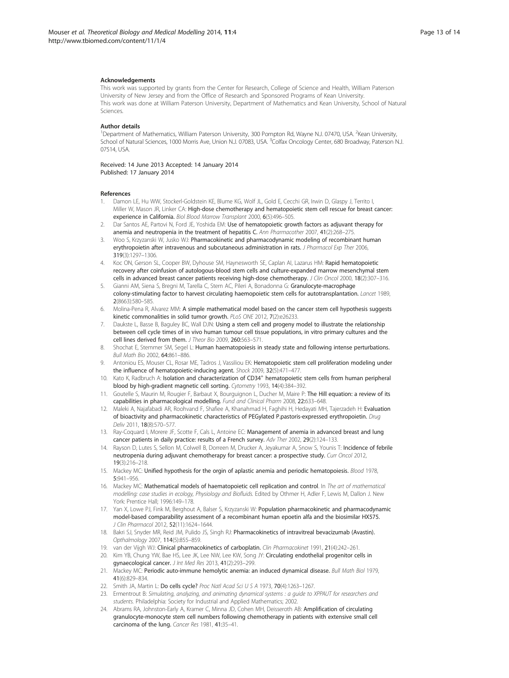#### <span id="page-12-0"></span>Acknowledgements

This work was supported by grants from the Center for Research, College of Science and Health, William Paterson University of New Jersey and from the Office of Research and Sponsored Programs of Kean University. This work was done at William Paterson University, Department of Mathematics and Kean University, School of Natural Sciences.

#### Author details

<sup>1</sup>Department of Mathematics, William Paterson University, 300 Pompton Rd, Wayne NJ. 07470, USA. <sup>2</sup>Kean University, School of Natural Sciences, 1000 Morris Ave, Union N.J. 07083, USA. <sup>3</sup>Colfax Oncology Center, 680 Broadway, Paterson N.J. 07514, USA.

Received: 14 June 2013 Accepted: 14 January 2014 Published: 17 January 2014

#### References

- 1. Damon LE, Hu WW, Stockerl-Goldstein KE, Blume KG, Wolf JL, Gold E, Cecchi GR, Irwin D, Glaspy J, Territo I, Miller W, Mason JR, Linker CA: High-dose chemotherapy and hematopoietic stem cell rescue for breast cancer: experience in California. Biol Blood Marrow Transplant 2000, 6(5):496–505.
- 2. Dar Santos AE, Partovi N, Ford JE, Yoshida EM: Use of hematopoietic growth factors as adjuvant therapy for anemia and neutropenia in the treatment of hepatitis C. Ann Pharmacother 2007, 41(2):268–275.
- Woo S, Krzyzanski W, Jusko WJ: Pharmacokinetic and pharmacodynamic modeling of recombinant human erythropoietin after intravenous and subcutaneous administration in rats. J Pharmacol Exp Ther 2006, 319(3):1297–1306.
- 4. Koc ON, Gerson SL, Cooper BW, Dyhouse SM, Haynesworth SE, Caplan AI, Lazarus HM: Rapid hematopoietic recovery after coinfusion of autologous-blood stem cells and culture-expanded marrow mesenchymal stem cells in advanced breast cancer patients receiving high-dose chemotherapy. J Clin Oncol 2000, 18(2):307–316.
- 5. Gianni AM, Siena S, Bregni M, Tarella C, Stern AC, Pileri A, Bonadonna G: Granulocyte-macrophage colony-stimulating factor to harvest circulating haemopoietic stem cells for autotransplantation. Lancet 1989, 2(8663):580–585.
- 6. Molina-Pena R, Alvarez MM: A simple mathematical model based on the cancer stem cell hypothesis suggests kinetic commonalities in solid tumor growth. PLoS ONE 2012, 7(2):e26233.
- 7. Daukste L, Basse B, Baguley BC, Wall DJN: Using a stem cell and progeny model to illustrate the relationship between cell cycle times of in vivo human tumour cell tissue populations, in vitro primary cultures and the cell lines derived from them. J Theor Bio 2009, 260:563–571.
- 8. Shochat E, Stemmer SM, Segel L: Human haematopoiesis in steady state and following intense perturbations. Bull Math Bio 2002, 64:861–886.
- 9. Antoniou ES, Mouser CL, Rosar ME, Tadros J, Vassiliou EK: Hematopoietic stem cell proliferation modeling under the influence of hematopoietic-inducing agent. Shock 2009, 32(5):471–477.
- 10. Kato K, Radbruch A: Isolation and characterization of CD34<sup>+</sup> hematopoietic stem cells from human peripheral blood by high-gradient magnetic cell sorting. Cytometry 1993, 14(4):384–392.
- 11. Goutelle S, Maurin M, Rougier F, Barbaut X, Bourguignon L, Ducher M, Maire P: The Hill equation: a review of its capabilities in pharmacological modelling. Fund and Clinical Pharm 2008, 22:633–648.
- 12. Maleki A, Najafabadi AR, Roohvand F, Shafiee A, Khanahmad H, Faghihi H, Hedayati MH, Tajerzadeh H: Evaluation of bioactivity and pharmacokinetic characteristics of PEGylated P.pastoris-expressed erythropoietin. Drug Deliv 2011, 18(8):570–577.
- 13. Ray-Coquard I, Morere JF, Scotte F, Cals L, Antoine EC: Management of anemia in advanced breast and lung cancer patients in daily practice: results of a French survey. Adv Ther 2002, 29(2):124-133.
- 14. Rayson D, Lutes S, Sellon M, Colwell B, Dorreen M, Drucker A, Jeyakumar A, Snow S, Younis T: Incidence of febrile neutropenia during adjuvant chemotherapy for breast cancer: a prospective study. Curr Oncol 2012, 19(3):216–218.
- 15. Mackey MC: Unified hypothesis for the orgin of aplastic anemia and periodic hematopoiesis. Blood 1978, 5:941–956.
- 16. Mackey MC: Mathematical models of haematopoietic cell replication and control. In The art of mathematical modelling: case studies in ecology, Physiology and Biofluids. Edited by Othmer H, Adler F, Lewis M, Dallon J. New York: Prentice Hall; 1996:149–178.
- 17. Yan X, Lowe PJ, Fink M, Berghout A, Balser S, Krzyzanski W: Population pharmacokinetic and pharmacodynamic model-based comparability assessment of a recombinant human epoetin alfa and the biosimilar HX575. J Clin Pharmacol 2012, 52(11):1624–1644.
- 18. Bakri SJ, Snyder MR, Reid JM, Pulido JS, Singh RJ: Pharmacokinetics of intravitreal bevacizumab (Avastin). Opthalmology 2007, 114(5):855–859.
- 19. van der Vijgh WJ: Clinical pharmacokinetics of carboplatin. Clin Pharmacokinet 1991, 21(4):242–261.
- 20. Kim YB, Chung YW, Bae HS, Lee JK, Lee NW, Lee KW, Song JY: Circulating endothelial progenitor cells in gynaecological cancer. J Int Med Res 2013, 41(2):293–299.
- 21. Mackey MC: Periodic auto-immune hemolytic anemia: an induced dynamical disease. Bull Math Biol 1979, 41(6):829–834.
- 22. Smith JA, Martin L: Do cells cycle? Proc Natl Acad Sci U S A 1973, 70(4):1263-1267.
- 23. Ermentrout B: Simulating, analyzing, and animating dynamical systems : a guide to XPPAUT for researchers and students. Philadelphia: Society for Industrial and Applied Mathematics; 2002.
- 24. Abrams RA, Johnston-Early A, Kramer C, Minna JD, Cohen MH, Deisseroth AB: Amplification of circulating granulocyte-monocyte stem cell numbers following chemotherapy in patients with extensive small cell carcinoma of the lung. Cancer Res 1981, 41:35–41.